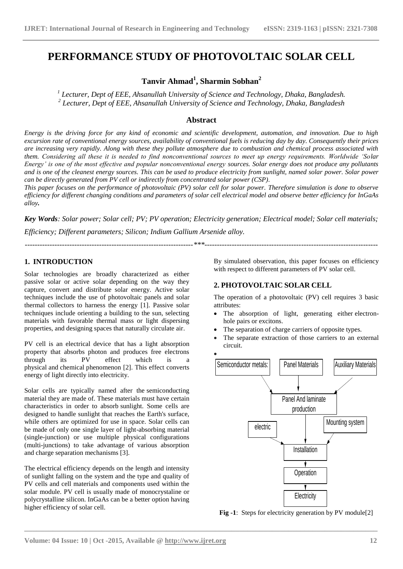## **PERFORMANCE STUDY OF PHOTOVOLTAIC SOLAR CELL**

## **Tanvir Ahmad<sup>1</sup> , Sharmin Sobhan<sup>2</sup>**

*1 Lecturer, Dept of EEE, Ahsanullah University of Science and Technology, Dhaka, Bangladesh. 2 Lecturer, Dept of EEE, Ahsanullah University of Science and Technology, Dhaka, Bangladesh*

### **Abstract**

*Energy is the driving force for any kind of economic and scientific development, automation, and innovation. Due to high excursion rate of conventional energy sources, availability of conventional fuels is reducing day by day. Consequently their prices are increasing very rapidly. Along with these they pollute atmosphere due to combustion and chemical process associated with them. Considering all these it is needed to find nonconventional sources to meet up energy requirements. Worldwide 'Solar Energy' is one of the most effective and popular nonconventional energy sources. Solar energy does not produce any pollutants and is one of the cleanest energy sources. This can be used to produce electricity from sunlight, named solar power. Solar power can be directly generated from PV cell or indirectly from concentrated solar power (CSP).*

*This paper focuses on the performance of photovoltaic (PV) solar cell for solar power. Therefore simulation is done to observe efficiency for different changing conditions and parameters of solar cell electrical model and observe better efficiency for InGaAs alloy.*

*Key Words: Solar power; Solar cell; PV; PV operation; Electricity generation; Electrical model; Solar cell materials; Efficiency; Different parameters; Silicon; Indium Gallium Arsenide alloy.*

*--------------------------------------------------------------------\*\*\*----------------------------------------------------------------------*

**\_\_\_\_\_\_\_\_\_\_\_\_\_\_\_\_\_\_\_\_\_\_\_\_\_\_\_\_\_\_\_\_\_\_\_\_\_\_\_\_\_\_\_\_\_\_\_\_\_\_\_\_\_\_\_\_\_\_\_\_\_\_\_\_\_\_\_\_\_\_\_\_\_\_\_\_\_\_\_\_\_\_\_\_\_\_\_**

## **1. INTRODUCTION**

Solar technologies are broadly characterized as either [passive solar](http://en.wikipedia.org/wiki/Passive_solar) or [active solar](http://en.wikipedia.org/wiki/Active_solar) depending on the way they capture, convert and distribute solar energy. Active solar techniques include the use of photovoltaic panels and [solar](http://en.wikipedia.org/wiki/Solar_thermal_energy)  [thermal](http://en.wikipedia.org/wiki/Solar_thermal_energy) collectors to harness the energy [1]. Passive solar techniques include orienting a building to the sun, selecting materials with favorable [thermal mass](http://en.wikipedia.org/wiki/Thermal_mass) or light dispersing properties, and designing spaces that [naturally circulate air.](http://en.wikipedia.org/wiki/Ventilation_%28architecture%29)

PV cell is an electrical device that has a light absorption property that absorbs photon and produces free electrons through its PV effect which is a physical and chemical phenomenon [2]. This effect converts energy of light directly into electricity.

Solar cells are typically named after the [semiconducting](https://en.wikipedia.org/wiki/Semiconducting_material)  [material](https://en.wikipedia.org/wiki/Semiconducting_material) they are made of. These [materials](https://en.wikipedia.org/wiki/List_of_semiconductor_materials) must have certain characteristics in order to absorb [sunlight.](https://en.wikipedia.org/wiki/Sunlight) Some cells are designed to handle sunlight that reaches the Earth's surface, while others are optimized for [use in space.](https://en.wikipedia.org/wiki/Solar_panels_on_spacecraft) Solar cells can be made of only one single layer of light-absorbing material [\(single-junction\)](https://en.wikipedia.org/wiki/P-n_junction) or use multiple physical configurations [\(multi-junctions\)](https://en.wikipedia.org/wiki/Multi-junction) to take advantage of various absorption and charge separation mechanisms [3].

The electrical efficiency depends on the length and intensity of sunlight falling on the system and the type and quality of PV cells and cell materials and components used within the solar module. PV cell is usually made of monocrystaline or polycrystalline silicon. InGaAs can be a better option having higher efficiency of solar cell.

By simulated observation, this paper focuses on efficiency with respect to different parameters of PV solar cell.

## **2. PHOTOVOLTAIC SOLAR CELL**

The operation of a photovoltaic (PV) cell requires 3 basic attributes:

- The absorption of light, generating either [electron](https://en.wikipedia.org/wiki/Electron)[hole](https://en.wikipedia.org/wiki/Electron_hole) pairs or [excitons.](https://en.wikipedia.org/wiki/Excitons)
- The separation of charge carriers of opposite types.
- The separate extraction of those carriers to an external circuit.



**Fig -1**: Steps for electricity generation by PV module[2]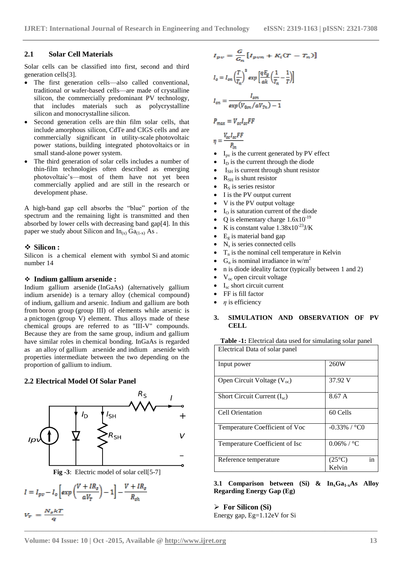## **2.1 Solar Cell Materials**

Solar cells can be classified into first, second and third generation cells[3].

- The first generation cells—also called conventional, traditional or [wafer-](https://en.wikipedia.org/wiki/Wafer_(electronics))based cells—are made of [crystalline](https://en.wikipedia.org/wiki/Crystalline_silicon)  [silicon,](https://en.wikipedia.org/wiki/Crystalline_silicon) the commercially predominant PV technology, that includes materials such as [polycrystalline](https://en.wikipedia.org/wiki/Polysilicon)  [silicon](https://en.wikipedia.org/wiki/Polysilicon) and [monocrystalline silicon.](https://en.wikipedia.org/wiki/Monocrystalline_silicon)
- Second generation cells are [thin film solar cells,](https://en.wikipedia.org/wiki/Thin_film_solar_cells) that include [amorphous silicon,](https://en.wikipedia.org/wiki/Amorphous_silicon) [CdTe](https://en.wikipedia.org/wiki/Cadmium_telluride_photovoltaics) and [CIGS](https://en.wikipedia.org/wiki/Copper_indium_gallium_selenide_solar_cell) cells and are commercially significant in utility-scale [photovoltaic](https://en.wikipedia.org/wiki/Photovoltaic_power_station)  [power stations,](https://en.wikipedia.org/wiki/Photovoltaic_power_station) [building integrated photovoltaics](https://en.wikipedia.org/wiki/Building_integrated_photovoltaics) or in small [stand-alone power system.](https://en.wikipedia.org/wiki/Stand-alone_power_system)
- The third generation of solar cells includes a number of thin-film technologies often described as emerging photovoltaic's—most of them have not yet been commercially applied and are still in the research or development phase.

A high-band gap cell absorbs the "blue" portion of the spectrum and the remaining light is transmitted and then absorbed by lower cells with decreasing band gap[4]. In this paper we study about Silicon and  $In_{(x)} Ga_{(1-x)} As$ .

#### **Silicon :**

Silicon is a [chemical](https://en.wikipedia.org/wiki/Chemical_element) element with symbol Si and [atomic](https://en.wikipedia.org/wiki/Atomic_number)  [number](https://en.wikipedia.org/wiki/Atomic_number) 14

#### **Indium gallium arsenide :**

Indium gallium arsenide (InGaAs) (alternatively gallium indium arsenide) is a ternary alloy [\(chemical compound\)](https://en.wikipedia.org/wiki/Chemical_compound) of [indium,](https://en.wikipedia.org/wiki/Indium) [gallium](https://en.wikipedia.org/wiki/Gallium) and [arsenic.](https://en.wikipedia.org/wiki/Arsenic) Indium and gallium are both from [boron](https://en.wikipedia.org/wiki/Boron_group) group [\(group III\)](https://en.wikipedia.org/wiki/Group_3_element) of elements while arsenic is a [pnictogen](https://en.wikipedia.org/wiki/Pnictogen) [\(group V\)](https://en.wikipedia.org/wiki/Group_5_element) element. Thus alloys made of these chemical groups are referred to as "III-V" compounds. Because they are from the same group, indium and gallium have similar roles in [chemical bonding.](https://en.wikipedia.org/wiki/Chemical_bonding) InGaAs is regarded as an [alloy](https://en.wikipedia.org/wiki/Alloy) of [gallium arsenide](https://en.wikipedia.org/wiki/Gallium_arsenide) and [indium arsenide](https://en.wikipedia.org/wiki/Indium_arsenide) with properties intermediate between the two depending on the proportion of gallium to indium.

#### **2.2 Electrical Model Of Solar Panel**



**Fig -3**: Electric model of solar cell[5-7]

$$
I = I_{pv} - I_o \left[ exp\left(\frac{V + IR_s}{aV_T}\right) - 1\right] - \frac{V + IR_s}{R_{sh}}
$$
  

$$
V = \frac{N_s \kappa T}{}
$$

q

$$
I_{pv} = \frac{G}{G_n} [I_{pvn} + K_i (T - T_n)]
$$
  
\n
$$
I_o = I_{on} \left(\frac{T}{T_n}\right)^2 exp\left[\frac{qE_g}{ak} \left(\frac{1}{T_n} - \frac{1}{T}\right)\right]
$$
  
\n
$$
I_{on} = \frac{I_{sen}}{exp(V_{0cn}/aV_{Tn}) - 1}
$$
  
\n
$$
P_{max} = V_{oc}I_{sc}FF
$$
  
\n
$$
\eta = \frac{V_{oc}I_{sc}FF}{P_{in}}
$$
  
\n• I<sub>pv</sub> is the current generated by PV effect

- $I_D$  is the current through the diode
- $I<sub>SH</sub>$  is current through shunt resistor
- $R_{SH}$  is shunt resistor
- $\bullet$  R<sub>S</sub> is series resistor
- I is the PV output current
- V is the PV output voltage
- $\bullet$  I<sub>O</sub> is saturation current of the diode
- Q is elementary charge  $1.6x10^{-19}$
- K is constant value  $1.38x10^{-23}$  J/K
- $E<sub>g</sub>$  is material band gap
- $\bullet$  N<sub>s</sub> is series connected cells
- $T_n$  is the nominal cell temperature in Kelvin
- $G_n$  is nominal irradiance in w/m<sup>2</sup>
- n is diode ideality factor (typically between 1 and 2)
- Voc open circuit voltage
- Isc short circuit current
- FF is fill factor
- *η* is efficiency

#### **3. SIMULATION AND OBSERVATION OF PV CELL**

| <b>Table -1:</b> Electrical data used for simulating solar panel |  |
|------------------------------------------------------------------|--|
| Electrical Data of solar panel                                   |  |

| Input power                      | 260W                            |
|----------------------------------|---------------------------------|
| Open Circuit Voltage $(V_{oc})$  | 37.92 V                         |
| Short Circuit Current $(I_{sc})$ | 8.67 A                          |
| Cell Orientation                 | 60 Cells                        |
| Temperature Coefficient of Voc   | $-0.33\%$ / $^{\circ}$ CO       |
| Temperature Coefficient of Isc   | $0.06\%$ / $^{\circ}$ C         |
| Reference temperature            | $(25^{\circ}C)$<br>in<br>Kelvin |

**3.1 Comparison between (Si) & InxGa1-xAs Alloy Regarding Energy Gap (Eg)**

#### **For Silicon (Si)**

**\_\_\_\_\_\_\_\_\_\_\_\_\_\_\_\_\_\_\_\_\_\_\_\_\_\_\_\_\_\_\_\_\_\_\_\_\_\_\_\_\_\_\_\_\_\_\_\_\_\_\_\_\_\_\_\_\_\_\_\_\_\_\_\_\_\_\_\_\_\_\_\_\_\_\_\_\_\_\_\_\_\_\_\_\_\_\_**

Energy gap, Eg=1.12eV for Si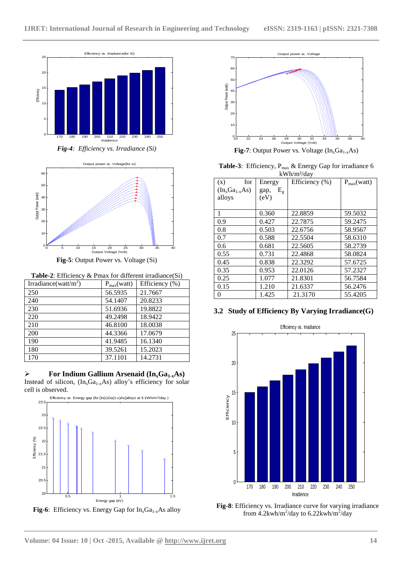

*Fig-4: Efficiency vs. Irradiance (Si)*



**Fig-5**: Output Power vs. Voltage (Si)

**Table-2**: Efficiency & Pmax for different irradiance(Si)

| Irradiance(watt/m <sup>2</sup> ) | $P_{max}(watt)$ | Efficiency (%) |
|----------------------------------|-----------------|----------------|
| 250                              | 56.5935         | 21.7667        |
| 240                              | 54.1407         | 20.8233        |
| 230                              | 51.6936         | 19.8822        |
| 220                              | 49.2498         | 18.9422        |
| 210                              | 46.8100         | 18.0038        |
| 200                              | 44.3366         | 17.0679        |
| 190                              | 41.9485         | 16.1340        |
| 180                              | 39.5261         | 15.2023        |
| 170                              | 37.1101         | 14.2731        |

 $\triangleright$  **For Indium Gallium Arsenaid (In<sub>x</sub>Ga<sub>1-x</sub>As)** Instead of silicon,  $(In_xGa_{1-x}As)$  alloy's efficiency for solar cell is observed.







**Fig-7**: Output Power vs. Voltage  $(In_xGa_{1-x}As)$ 

Table-3: Efficiency, P<sub>max</sub> & Energy Gap for irradiance 6 kWh/m²/day

| (x)<br>for         | Energy              | Efficiency (%) | $P_{max}(watt)$ |
|--------------------|---------------------|----------------|-----------------|
| $(In_xGa_{1-x}As)$ | $E_{\rm g}$<br>gap, |                |                 |
| alloys             | (eV)                |                |                 |
|                    |                     |                |                 |
| 1                  | 0.360               | 22.8859        | 59.5032         |
| 0.9                | 0.427               | 22.7875        | 59.2475         |
| 0.8                | 0.503               | 22.6756        | 58.9567         |
| 0.7                | 0.588               | 22.5504        | 58.6310         |
| 0.6                | 0.681               | 22.5605        | 58.2739         |
| 0.55               | 0.731               | 22.4868        | 58.0824         |
| 0.45               | 0.838               | 22.3292        | 57.6725         |
| 0.35               | 0.953               | 22.0126        | 57.2327         |
| 0.25               | 1.077               | 21.8301        | 56.7584         |
| 0.15               | 1.210               | 21.6337        | 56.2476         |
| 0                  | 1.425               | 21.3170        | 55.4205         |

## **3.2 Study of Efficiency By Varying Irradiance(G)**



**Fig-8**: Efficiency vs. Irradiance curve for varying irradiance from  $4.2$ kwh/m<sup>2</sup>/day to 6.22kwh/m<sup>2</sup>/day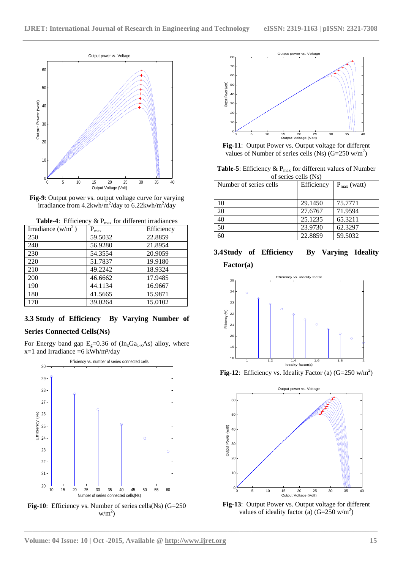



| Irradiance $(w/m^2)$ | $P_{max}$ | Efficiency |
|----------------------|-----------|------------|
| 250                  | 59.5032   | 22.8859    |
| 240                  | 56.9280   | 21.8954    |
| 230                  | 54.3554   | 20.9059    |
| 220                  | 51.7837   | 19.9180    |
| 210                  | 49.2242   | 18.9324    |
| 200                  | 46.6662   | 17.9485    |
| 190                  | 44.1134   | 16.9667    |
| 180                  | 41.5665   | 15.9871    |
| 170                  | 39.0264   | 15.0102    |

**Table-4**: Efficiency  $\&$  P<sub>max</sub> for different irradiances

## **3.3 Study of Efficiency By Varying Number of Series Connected Cells(Ns)**

For Energy band gap  $E_g=0.36$  of  $(In_xGa_{1-x}As)$  alloy, where  $x=1$  and Irradiance =6 kWh/m<sup>2</sup>/day



**Fig-10**: Efficiency vs. Number of series cells(Ns) (G=250  $w/m^2$ 



**Fig-11**: Output Power vs. Output voltage for different values of Number of series cells (Ns)  $(G=250 \text{ w/m}^2)$ 

Table-5: Efficiency & P<sub>max</sub> for different values of Number of series cells (Ns)

| Number of series cells | Efficiency | $P_{\text{max}}$ (watt) |
|------------------------|------------|-------------------------|
|                        |            |                         |
| 10                     | 29.1450    | 75.7771                 |
| 20                     | 27.6767    | 71.9594                 |
| 40                     | 25.1235    | 65.3211                 |
| 50                     | 23.9730    | 62.3297                 |
| 50                     | 22.8859    | 59.5032                 |

# **3.4Study of Efficiency By Varying Ideality**





**Fig-12**: Efficiency vs. Ideality Factor (a)  $(G=250 \text{ w/m}^2)$ 



**Fig-13**: Output Power vs. Output voltage for different values of ideality factor (a)  $(G=250 \text{ w/m}^2)$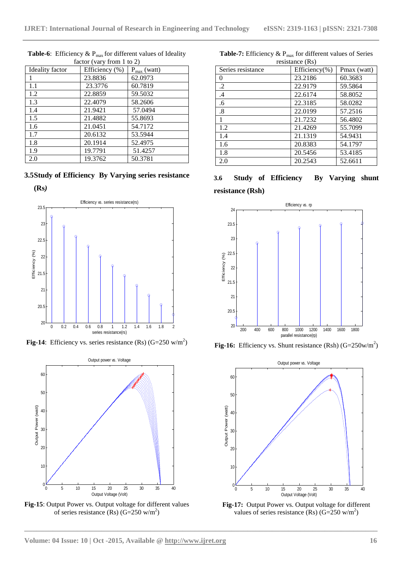| Ideality factor | Efficiency (%) | $P_{max}$ (watt) |
|-----------------|----------------|------------------|
|                 | 23.8836        | 62.0973          |
| 1.1             | 23.3776        | 60.7819          |
| 1.2             | 22.8859        | 59.5032          |
| 1.3             | 22.4079        | 58.2606          |
| 1.4             | 21.9421        | 57.0494          |
| 1.5             | 21.4882        | 55.8693          |
| 1.6             | 21.0451        | 54.7172          |
| 1.7             | 20.6132        | 53.5944          |
| 1.8             | 20.1914        | 52.4975          |
| 1.9             | 19.7791        | 51.4257          |
| 2.0             | 19.3762        | 50.3781          |

**Table-6**: Efficiency &  $P_{max}$  for different values of Ideality factor (vary from 1 to 2)

**3.5Study of Efficiency By Varying series resistance** 





**Fig-14**: Efficiency vs. series resistance (Rs)  $(G=250 \text{ w/m}^2)$ 



**Fig-15**: Output Power vs. Output voltage for different values of series resistance (Rs)  $(G=250 \text{ w/m}^2)$ 

| Series resistance | Efficiency(%) | Pmax (watt) |  |
|-------------------|---------------|-------------|--|
| 0                 | 23.2186       | 60.3683     |  |
| .2                | 22.9179       | 59.5864     |  |
| .4                | 22.6174       | 58.8052     |  |
| .6                | 22.3185       | 58.0282     |  |
| $\boldsymbol{.8}$ | 22.0199       | 57.2516     |  |
| 1                 | 21.7232       | 56.4802     |  |
| 1.2               | 21.4269       | 55.7099     |  |
| 1.4               | 21.1319       | 54.9431     |  |
| 1.6               | 20.8383       | 54.1797     |  |
| 1.8               | 20.5456       | 53.4185     |  |
| 2.0               | 20.2543       | 52.6611     |  |

**Table-7:** Efficiency  $\&$  P<sub>max</sub> for different values of Series resistance (Rs)

**3.6 Study of Efficiency By Varying shunt resistance (Rsh)**



**Fig-16:** Efficiency vs. Shunt resistance  $(Rsh)$   $(G=250w/m^2)$ 



**Fig-17:** Output Power vs. Output voltage for different values of series resistance (Rs)  $(G=250 \text{ w/m}^2)$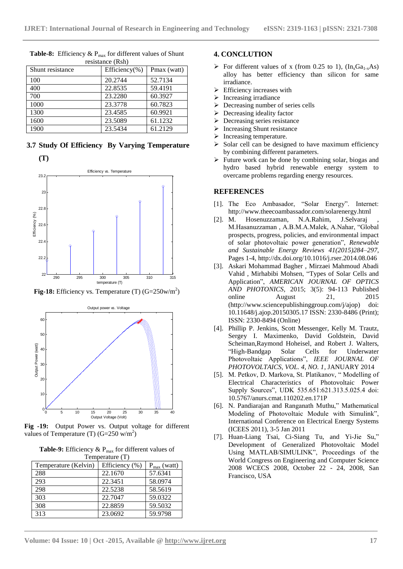| Shunt resistance | Efficiency(%) | Pmax (watt) |
|------------------|---------------|-------------|
| 100              | 20.2744       | 52.7134     |
| 400              | 22.8535       | 59.4191     |
| 700              | 23.2280       | 60.3927     |
| 1000             | 23.3778       | 60.7823     |
| 1300             | 23.4585       | 60.9921     |
| 1600             | 23.5089       | 61.1232     |
| 1900             | 23.5434       | 61.2129     |

Table-8: Efficiency & P<sub>max</sub> for different values of Shunt resistance (Rsh)

**3.7 Study Of Efficiency By Varying Temperature (T)**



**Fig-18:** Efficiency vs. Temperature  $(T)$   $(G=250$ w/m<sup>2</sup>)



**Fig -19:** Output Power vs. Output voltage for different values of Temperature (T)  $(G=250 \text{ w/m}^2)$ 

**Table-9:** Efficiency  $\& P_{\text{max}}$  for different values of Temperature (T)

| $\frac{1}{2}$ . The state of $\frac{1}{2}$ |                |                         |  |
|--------------------------------------------|----------------|-------------------------|--|
| Temperature (Kelvin)                       | Efficiency (%) | $P_{\text{max}}$ (watt) |  |
| 288                                        | 22.1670        | 57.6341                 |  |
| 293                                        | 22.3451        | 58.0974                 |  |
| 298                                        | 22.5238        | 58.5619                 |  |
| 303                                        | 22.7047        | 59.0322                 |  |
| 308                                        | 22.8859        | 59.5032                 |  |
| 313                                        | 23.0692        | 59.9798                 |  |
|                                            |                |                         |  |

#### **4. CONCLUTION**

- For different values of x (from 0.25 to 1),  $(In_xGa_{1-x}As)$ alloy has better efficiency than silicon for same irradiance.
- $\triangleright$  Efficiency increases with
- $\triangleright$  Increasing irradiance
- $\triangleright$  Decreasing number of series cells
- $\triangleright$  Decreasing ideality factor
- Decreasing series resistance
- $\triangleright$  Increasing Shunt resistance<br> $\triangleright$  Increasing temperature.
- Increasing temperature.<br> $\geq$  Solar cell can be designed
- Solar cell can be designed to have maximum efficiency by combining different parameters.
- $\triangleright$  Future work can be done by combining solar, biogas and hydro based hybrid renewable energy system to overcame problems regarding energy resources.

#### **REFERENCES**

- [1]. The Eco Ambasador, "Solar Energy". Internet: http://www.theecoambassador.com/solarenergy.html
- [2]. M. Hosenuzzaman, N.A.Rahim, J.Selvaraj M.Hasanuzzaman , A.B.M.A.Malek, A.Nahar, "Global prospects, progress, policies, and environmental impact of solar photovoltaic power generation", *Renewable and Sustainable Energy Reviews 41(2015)284–297*, Pages 1-4,<http://dx.doi.org/10.1016/j.rser.2014.08.046>
- [3]. Askari Mohammad Bagher , Mirzaei Mahmoud Abadi Vahid , Mirhabibi Mohsen, "Types of Solar Cells and Application", *AMERICAN JOURNAL OF OPTICS AND PHOTONICS,* 2015; 3(5): 94-113 Published online August 21, 2015 (http://www.sciencepublishinggroup.com/j/ajop) doi: 10.11648/j.ajop.20150305.17 ISSN: 2330-8486 (Print); ISSN: 2330-8494 (Online)
- [4]. Phillip P. Jenkins, Scott Messenger, Kelly M. Trautz, Sergey I. Maximenko, David Goldstein, David Scheiman,Raymond Hoheisel, and Robert J. Walters, "High-Bandgap Solar Cells for Underwater Photovoltaic Applications", *IEEE JOURNAL OF PHOTOVOLTAICS, VOL. 4, NO. 1*, JANUARY 2014
- [5]. M. Petkov, D. Markova, St. Platikanov, " Modelling of Electrical Characteristics of Photovoltaic Power Supply Sources", UDK 535.651:621.313.5.025.4 doi: 10.5767/anurs.cmat.110202.en.171P
- [6]. N. Pandiarajan and Ranganath Muthu," Mathematical Modeling of Photovoltaic Module with Simulink", International Conference on Electrical Energy Systems (ICEES 2011), 3-5 Jan 2011
- [7]. Huan-Liang Tsai, Ci-Siang Tu, and Yi-Jie Su," Development of Generalized Photovoltaic Model Using MATLAB/SIMULINK", Proceedings of the World Congress on Engineering and Computer Science 2008 WCECS 2008, October 22 - 24, 2008, San Francisco, USA